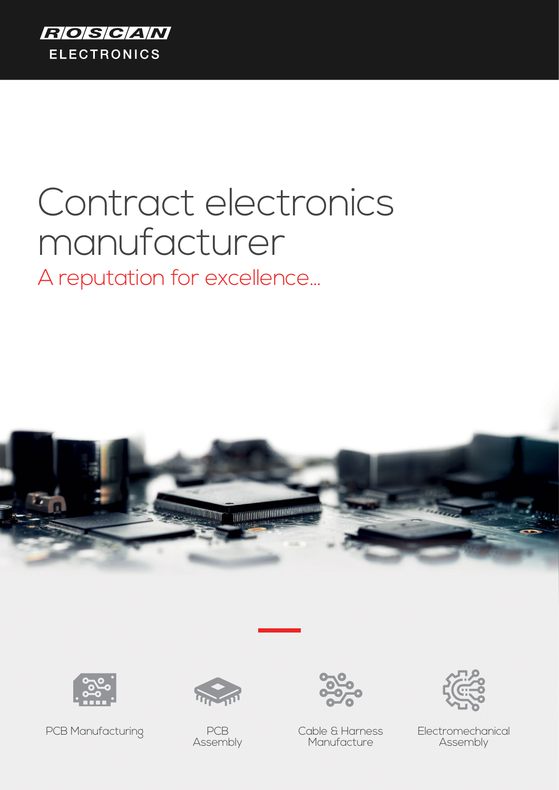

# Contract electronics manufacturer A reputation for excellence...





PCB Manufacturing PCB



Assembly

Cable & Harness Manufacture



Electromechanical Assembly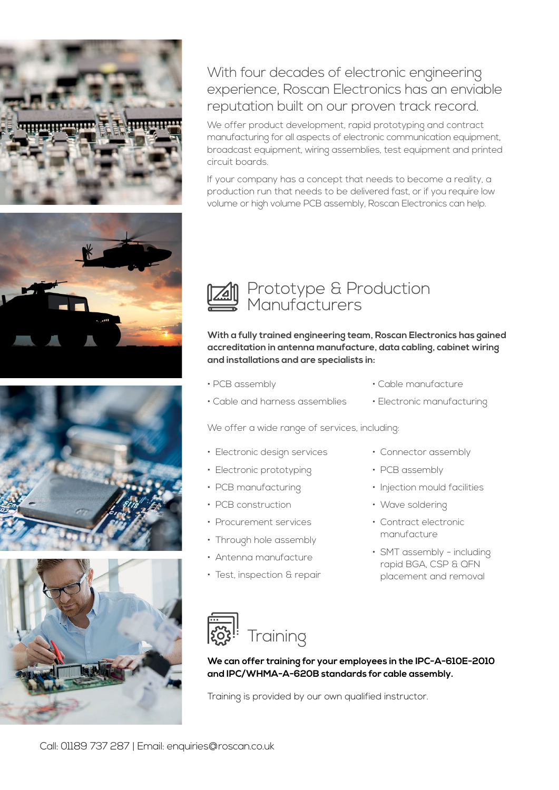







With four decades of electronic engineering experience, Roscan Electronics has an enviable reputation built on our proven track record.

We offer product development, rapid prototyping and contract manufacturing for all aspects of electronic communication equipment, broadcast equipment, wiring assemblies, test equipment and printed circuit boards.

If your company has a concept that needs to become a reality, a production run that needs to be delivered fast, or if you require low volume or high volume PCB assembly, Roscan Electronics can help.



**With a fully trained engineering team, Roscan Electronics has gained accreditation in antenna manufacture, data cabling, cabinet wiring and installations and are specialists in:** 

- PCB assembly
- Cable and harness assemblies
- Cable manufacture
- Electronic manufacturing

We offer a wide range of services, including:

- Electronic design services
- Electronic prototyping
- PCB manufacturing
- PCB construction
- Procurement services
- Through hole assembly
- Antenna manufacture
- Test, inspection & repair
- Connector assembly
- PCB assembly
- Injection mould facilities
- Wave soldering
- Contract electronic manufacture
- SMT assembly including rapid BGA, CSP & QFN placement and removal



**We can offer training for your employees in the IPC-A-610E-2010 and IPC/WHMA-A-620B standards for cable assembly.**

Training is provided by our own qualified instructor.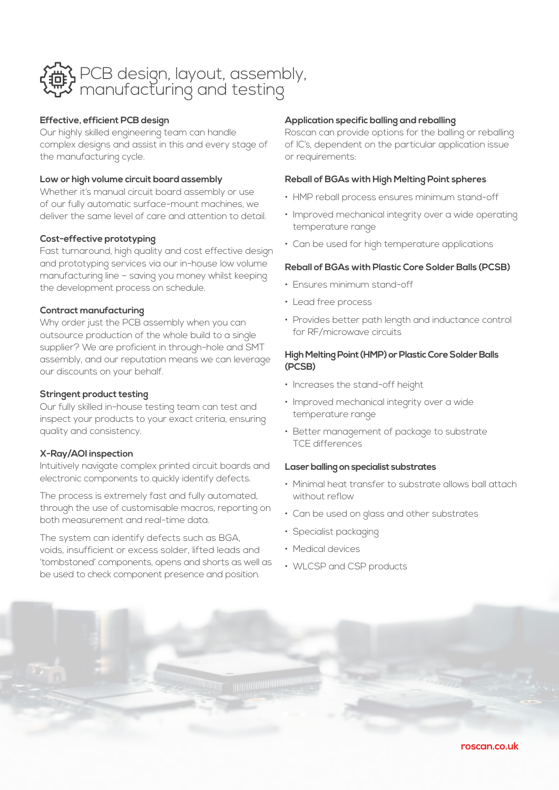

#### **Effective, efficient PCB design**

Our highly skilled engineering team can handle complex designs and assist in this and every stage of the manufacturing cycle.

#### **Low or high volume circuit board assembly**

Whether it's manual circuit board assembly or use of our fully automatic surface-mount machines, we deliver the same level of care and attention to detail.

#### **Cost-effective prototyping**

Fast turnaround, high quality and cost effective design and prototyping services via our in-house low volume manufacturing line – saving you money whilst keeping the development process on schedule.

#### **Contract manufacturing**

Why order just the PCB assembly when you can outsource production of the whole build to a single supplier? We are proficient in through-hole and SMT assembly, and our reputation means we can leverage our discounts on your behalf.

#### **Stringent product testing**

Our fully skilled in-house testing team can test and inspect your products to your exact criteria, ensuring quality and consistency.

#### **X-Ray/AOI inspection**

Intuitively navigate complex printed circuit boards and electronic components to quickly identify defects.

The process is extremely fast and fully automated, through the use of customisable macros, reporting on both measurement and real-time data.

The system can identify defects such as BGA, voids, insufficient or excess solder, lifted leads and 'tombstoned' components, opens and shorts as well as be used to check component presence and position.

#### **Application specific balling and reballing**

Roscan can provide options for the balling or reballing of IC's, dependent on the particular application issue or requirements:

#### **Reball of BGAs with High Melting Point spheres**

- HMP reball process ensures minimum stand-off
- Improved mechanical integrity over a wide operating temperature range
- Can be used for high temperature applications

#### **Reball of BGAs with Plastic Core Solder Balls (PCSB)**

- Ensures minimum stand-off
- Lead free process
- Provides better path length and inductance control for RF/microwave circuits

#### **High Melting Point (HMP) or Plastic Core Solder Balls (PCSB)**

- Increases the stand-off height
- Improved mechanical integrity over a wide temperature range
- Better management of package to substrate TCE differences

#### **Laser balling on specialist substrates**

- Minimal heat transfer to substrate allows ball attach without reflow
- Can be used on glass and other substrates
- Specialist packaging
- Medical devices
- WLCSP and CSP products